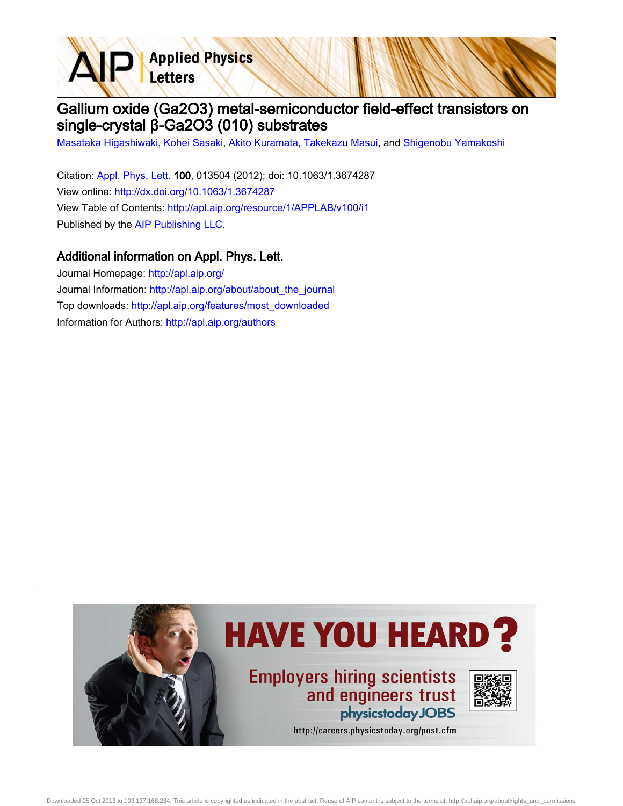**Applied Physics** Letters

## Gallium oxide (Ga2O3) metal-semiconductor field-effect transistors on single-crystal β-Ga2O3 (010) substrates

[Masataka Higashiwaki](http://apl.aip.org/search?sortby=newestdate&q=&searchzone=2&searchtype=searchin&faceted=faceted&key=AIP_ALL&possible1=Masataka Higashiwaki&possible1zone=author&alias=&displayid=AIP&ver=pdfcov), [Kohei Sasaki](http://apl.aip.org/search?sortby=newestdate&q=&searchzone=2&searchtype=searchin&faceted=faceted&key=AIP_ALL&possible1=Kohei Sasaki&possible1zone=author&alias=&displayid=AIP&ver=pdfcov), [Akito Kuramata](http://apl.aip.org/search?sortby=newestdate&q=&searchzone=2&searchtype=searchin&faceted=faceted&key=AIP_ALL&possible1=Akito Kuramata&possible1zone=author&alias=&displayid=AIP&ver=pdfcov), [Takekazu Masui](http://apl.aip.org/search?sortby=newestdate&q=&searchzone=2&searchtype=searchin&faceted=faceted&key=AIP_ALL&possible1=Takekazu Masui&possible1zone=author&alias=&displayid=AIP&ver=pdfcov), and [Shigenobu Yamakoshi](http://apl.aip.org/search?sortby=newestdate&q=&searchzone=2&searchtype=searchin&faceted=faceted&key=AIP_ALL&possible1=Shigenobu Yamakoshi&possible1zone=author&alias=&displayid=AIP&ver=pdfcov)

Citation: [Appl. Phys. Lett. 1](http://apl.aip.org/?ver=pdfcov)00, 013504 (2012); doi: 10.1063/1.3674287 View online: [http://dx.doi.org/10.1063/1.3674287](http://link.aip.org/link/doi/10.1063/1.3674287?ver=pdfcov) View Table of Contents: [http://apl.aip.org/resource/1/APPLAB/v100/i1](http://apl.aip.org/resource/1/APPLAB/v100/i1?ver=pdfcov) Published by the [AIP Publishing LLC.](http://www.aip.org/?ver=pdfcov)

## Additional information on Appl. Phys. Lett.

Journal Homepage: [http://apl.aip.org/](http://apl.aip.org/?ver=pdfcov) Journal Information: [http://apl.aip.org/about/about\\_the\\_journal](http://apl.aip.org/about/about_the_journal?ver=pdfcov) Top downloads: [http://apl.aip.org/features/most\\_downloaded](http://apl.aip.org/features/most_downloaded?ver=pdfcov) Information for Authors: [http://apl.aip.org/authors](http://apl.aip.org/authors?ver=pdfcov)

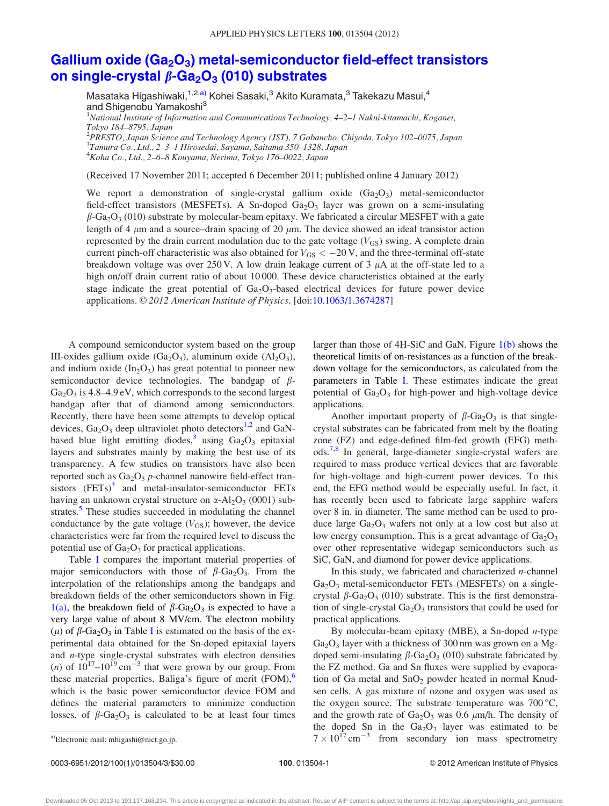## Gallium oxide  $(Ga<sub>2</sub>O<sub>3</sub>)$  metal-semiconductor field-effect transistors [on single-crystal](http://dx.doi.org/10.1063/1.3674287)  $\beta$ -Ga<sub>2</sub>O<sub>3</sub> [\(010\) substrates](http://dx.doi.org/10.1063/1.3674287)

Masataka Higashiwaki,<sup>1,2,a)</sup> Kohei Sasaki,<sup>3</sup> Akito Kuramata,<sup>3</sup> Takekazu Masui,<sup>4</sup> and Shigenobu Yamakoshi<sup>3</sup> <sup>1</sup>National Institute of Information and Communications Technology, 4–2–1 Nukui-kitamachi, Koganei, Tokyo 184–8795, Japan 2 PRESTO, Japan Science and Technology Agency (JST), 7 Gobancho, Chiyoda, Tokyo 102–0075, Japan

3 Tamura Co., Ltd., 2–3–1 Hirosedai, Sayama, Saitama 350–1328, Japan 4 Koha Co., Ltd., 2–6–8 Kouyama, Nerima, Tokyo 176–0022, Japan

(Received 17 November 2011; accepted 6 December 2011; published online 4 January 2012)

We report a demonstration of single-crystal gallium oxide  $(Ga_2O_3)$  metal-semiconductor field-effect transistors (MESFETs). A Sn-doped  $Ga_2O_3$  layer was grown on a semi-insulating  $\beta$ -Ga<sub>2</sub>O<sub>3</sub> (010) substrate by molecular-beam epitaxy. We fabricated a circular MESFET with a gate length of 4  $\mu$ m and a source–drain spacing of 20  $\mu$ m. The device showed an ideal transistor action represented by the drain current modulation due to the gate voltage  $(V_{GS})$  swing. A complete drain current pinch-off characteristic was also obtained for  $V_{GS} < -20$  V, and the three-terminal off-state breakdown voltage was over  $250$  V. A low drain leakage current of 3  $\mu$ A at the off-state led to a high on/off drain current ratio of about 10 000. These device characteristics obtained at the early stage indicate the great potential of  $Ga<sub>2</sub>O<sub>3</sub>$ -based electrical devices for future power device applications. © 2012 American Institute of Physics. [doi[:10.1063/1.3674287](http://dx.doi.org/10.1063/1.3674287)]

A compound semiconductor system based on the group III-oxides gallium oxide  $(Ga<sub>2</sub>O<sub>3</sub>)$ , aluminum oxide  $(Al<sub>2</sub>O<sub>3</sub>)$ , and indium oxide  $(In_2O_3)$  has great potential to pioneer new semiconductor device technologies. The bandgap of  $\beta$ - $Ga<sub>2</sub>O<sub>3</sub>$  is 4.8–4.9 eV, which corresponds to the second largest bandgap after that of diamond among semiconductors. Recently, there have been some attempts to develop optical devices,  $Ga_2O_3$  deep ultraviolet photo detectors<sup>[1,2](#page-3-0)</sup> and GaN-based blue light emitting diodes,<sup>[3](#page-3-0)</sup> using  $Ga_2O_3$  epitaxial layers and substrates mainly by making the best use of its transparency. A few studies on transistors have also been reported such as  $Ga<sub>2</sub>O<sub>3</sub> p$ -channel nanowire field-effect transistors  $(FETs)^4$  and metal-insulator-semiconductor FETs having an unknown crystal structure on  $\alpha$ -Al<sub>2</sub>O<sub>3</sub> (0001) sub-strates.<sup>[5](#page-3-0)</sup> These studies succeeded in modulating the channel conductance by the gate voltage  $(V_{GS})$ ; however, the device characteristics were far from the required level to discuss the potential use of  $Ga<sub>2</sub>O<sub>3</sub>$  for practical applications.

Table [I](#page-2-0) compares the important material properties of major semiconductors with those of  $\beta$ -Ga<sub>2</sub>O<sub>3</sub>. From the interpolation of the relationships among the bandgaps and breakdown fields of the other semiconductors shown in Fig.  $1(a)$ , the breakdown field of  $\beta$ -Ga<sub>2</sub>O<sub>3</sub> is expected to have a very large value of about 8 MV/cm. The electron mobility (μ) of  $β$ -Ga<sub>2</sub>O<sub>3</sub> in Table [I](#page-2-0) is estimated on the basis of the experimental data obtained for the Sn-doped epitaxial layers and n-type single-crystal substrates with electron densities (*n*) of  $10^{17}$ – $10^{19}$  cm<sup>-3</sup> that were grown by our group. From these material properties, Baliga's figure of merit  $(FOM)_0$ , which is the basic power semiconductor device FOM and defines the material parameters to minimize conduction losses, of  $\beta$ -Ga<sub>2</sub>O<sub>3</sub> is calculated to be at least four times

larger than those of 4H-SiC and GaN. Figure [1\(b\)](#page-2-0) shows the theoretical limits of on-resistances as a function of the breakdown voltage for the semiconductors, as calculated from the parameters in Table [I](#page-2-0). These estimates indicate the great potential of  $Ga<sub>2</sub>O<sub>3</sub>$  for high-power and high-voltage device applications.

Another important property of  $\beta$ -Ga<sub>2</sub>O<sub>3</sub> is that singlecrystal substrates can be fabricated from melt by the floating zone (FZ) and edge-defined film-fed growth (EFG) methods.[7](#page-3-0),[8](#page-3-0) In general, large-diameter single-crystal wafers are required to mass produce vertical devices that are favorable for high-voltage and high-current power devices. To this end, the EFG method would be especially useful. In fact, it has recently been used to fabricate large sapphire wafers over 8 in. in diameter. The same method can be used to produce large  $Ga<sub>2</sub>O<sub>3</sub>$  wafers not only at a low cost but also at low energy consumption. This is a great advantage of  $Ga<sub>2</sub>O<sub>3</sub>$ over other representative widegap semiconductors such as SiC, GaN, and diamond for power device applications.

In this study, we fabricated and characterized  $n$ -channel  $Ga<sub>2</sub>O<sub>3</sub>$  metal-semiconductor FETs (MESFETs) on a singlecrystal  $\beta$ -Ga<sub>2</sub>O<sub>3</sub> (010) substrate. This is the first demonstration of single-crystal  $Ga_2O_3$  transistors that could be used for practical applications.

By molecular-beam epitaxy (MBE), a Sn-doped  $n$ -type  $Ga<sub>2</sub>O<sub>3</sub>$  layer with a thickness of 300 nm was grown on a Mgdoped semi-insulating  $\beta$ -Ga<sub>2</sub>O<sub>3</sub> (010) substrate fabricated by the FZ method. Ga and Sn fluxes were supplied by evaporation of Ga metal and  $SnO<sub>2</sub>$  powder heated in normal Knudsen cells. A gas mixture of ozone and oxygen was used as the oxygen source. The substrate temperature was  $700^{\circ}$ C, and the growth rate of  $Ga_2O_3$  was 0.6  $\mu$ m/h. The density of the doped Sn in the  $Ga<sub>2</sub>O<sub>3</sub>$  layer was estimated to be <sup>a)</sup>Electronic mail: mhigashi@nict.go.jp.  $7 \times 10^{17}$  cm<sup>-3</sup> from secondary ion mass spectrometry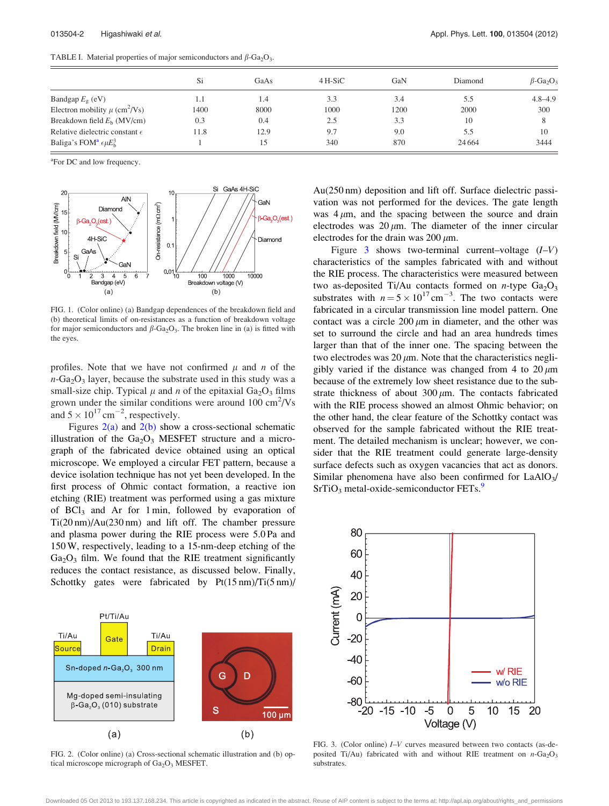<span id="page-2-0"></span>TABLE I. Material properties of major semiconductors and  $\beta$ -Ga<sub>2</sub>O<sub>3</sub>.

|                                                | Si   | GaAs | 4 H-SiC | GaN  | Diamond  | $\beta$ -Ga <sub>2</sub> O <sub>3</sub> |
|------------------------------------------------|------|------|---------|------|----------|-----------------------------------------|
| Bandgap $E_g$ (eV)                             | 1.1  | 1.4  | 3.3     | 3.4  | 5.5      | $4.8 - 4.9$                             |
| Electron mobility $\mu$ (cm <sup>2</sup> /Vs)  | 1400 | 8000 | 1000    | 1200 | 2000     | 300                                     |
| Breakdown field $Eb$ (MV/cm)                   | 0.3  | 0.4  | 2.5     | 3.3  | 10       |                                         |
| Relative dielectric constant $\epsilon$        | 11.8 | 12.9 | 9.7     | 9.0  | 5.5      | 10                                      |
| Baliga's FOM <sup>a</sup> $\epsilon \mu E_h^3$ |      | 15   | 340     | 870  | 24 6 6 4 | 3444                                    |

<sup>a</sup>For DC and low frequency.



FIG. 1. (Color online) (a) Bandgap dependences of the breakdown field and (b) theoretical limits of on-resistances as a function of breakdown voltage for major semiconductors and  $\beta$ -Ga<sub>2</sub>O<sub>3</sub>. The broken line in (a) is fitted with the eyes.

profiles. Note that we have not confirmed  $\mu$  and n of the  $n-\text{Ga}_2\text{O}_3$  layer, because the substrate used in this study was a small-size chip. Typical  $\mu$  and n of the epitaxial Ga<sub>2</sub>O<sub>3</sub> films grown under the similar conditions were around  $100 \text{ cm}^2/\text{Vs}$ and  $5 \times 10^{17}$  cm<sup>-2</sup>, respectively.

Figures  $2(a)$  and  $2(b)$  show a cross-sectional schematic illustration of the  $Ga<sub>2</sub>O<sub>3</sub>$  MESFET structure and a micrograph of the fabricated device obtained using an optical microscope. We employed a circular FET pattern, because a device isolation technique has not yet been developed. In the first process of Ohmic contact formation, a reactive ion etching (RIE) treatment was performed using a gas mixture of  $BCI<sub>3</sub>$  and Ar for 1 min, followed by evaporation of Ti(20 nm)/Au(230 nm) and lift off. The chamber pressure and plasma power during the RIE process were 5.0 Pa and 150 W, respectively, leading to a 15-nm-deep etching of the  $Ga<sub>2</sub>O<sub>3</sub>$  film. We found that the RIE treatment significantly reduces the contact resistance, as discussed below. Finally, Schottky gates were fabricated by  $Pt(15 \text{ nm})/Ti(5 \text{ nm})/$ 



FIG. 2. (Color online) (a) Cross-sectional schematic illustration and (b) optical microscope micrograph of  $Ga<sub>2</sub>O<sub>3</sub>$  MESFET.

Au(250 nm) deposition and lift off. Surface dielectric passivation was not performed for the devices. The gate length was  $4 \mu m$ , and the spacing between the source and drain electrodes was  $20 \mu m$ . The diameter of the inner circular electrodes for the drain was  $200 \mu m$ .

Figure 3 shows two-terminal current–voltage  $(I-V)$ characteristics of the samples fabricated with and without the RIE process. The characteristics were measured between two as-deposited Ti/Au contacts formed on  $n$ -type  $Ga<sub>2</sub>O<sub>3</sub>$ substrates with  $n = 5 \times 10^{17}$  cm<sup>-3</sup>. The two contacts were fabricated in a circular transmission line model pattern. One contact was a circle  $200 \mu m$  in diameter, and the other was set to surround the circle and had an area hundreds times larger than that of the inner one. The spacing between the two electrodes was  $20 \mu m$ . Note that the characteristics negligibly varied if the distance was changed from 4 to  $20 \mu m$ because of the extremely low sheet resistance due to the substrate thickness of about 300  $\mu$ m. The contacts fabricated with the RIE process showed an almost Ohmic behavior; on the other hand, the clear feature of the Schottky contact was observed for the sample fabricated without the RIE treatment. The detailed mechanism is unclear; however, we consider that the RIE treatment could generate large-density surface defects such as oxygen vacancies that act as donors. Similar phenomena have also been confirmed for  $LaAlO<sub>3</sub>/$  $SrTiO<sub>3</sub>$  metal-oxide-semiconductor FETs. $9$ 



FIG. 3. (Color online) I–V curves measured between two contacts (as-deposited Ti/Au) fabricated with and without RIE treatment on  $n$ -Ga<sub>2</sub>O<sub>3</sub> substrates.

Downloaded 05 Oct 2013 to 193.137.168.234. This article is copyrighted as indicated in the abstract. Reuse of AIP content is subject to the terms at: http://apl.aip.org/about/rights\_and\_permissions